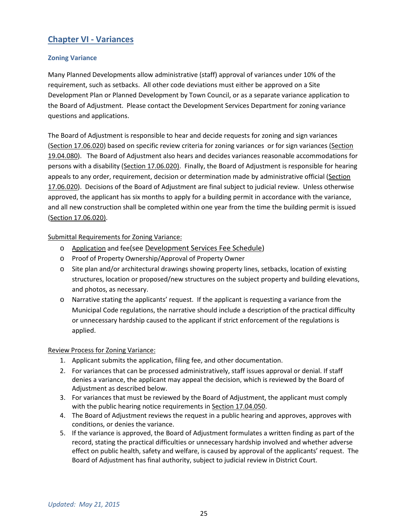# **Chapter VI - Variances**

# **Zoning Variance**

Many Planned Developments allow administrative (staff) approval of variances under 10% of the requirement, such as setbacks. All other code deviations must either be approved on a Site Development Plan or Planned Development by Town Council, or as a separate variance application to the Board of Adjustment. Please contact the Development Services Department for zoning variance questions and applications.

The Board of Adjustment is responsible to hear and decide requests for zoning and sign variances (Section 17.06.020) based on specific review criteria for zoning variances or for sign variances (Section 19.04.080). The Board of Adjustment also hears and decides variances reasonable accommodations for persons with a disability (Section 17.06.020). Finally, the Board of Adjustment is responsible for hearing appeals to any order, requirement, decision or determination made by administrative official (Section 17.06.020). Decisions of the Board of Adjustment are final subject to judicial review. Unless otherwise approved, the applicant has six months to apply for a building permit in accordance with the variance, and all new construction shall be completed within one year from the time the building permit is issued (Section 17.06.020).

# Submittal Requirements for Zoning Variance:

- o Application and fee(see Development Services Fee Schedule)
- o Proof of Property Ownership/Approval of Property Owner
- o Site plan and/or architectural drawings showing property lines, setbacks, location of existing structures, location or proposed/new structures on the subject property and building elevations, and photos, as necessary.
- o Narrative stating the applicants' request. If the applicant is requesting a variance from the Municipal Code regulations, the narrative should include a description of the practical difficulty or unnecessary hardship caused to the applicant if strict enforcement of the regulations is applied.

# Review Process for Zoning Variance:

- 1. Applicant submits the application, filing fee, and other documentation.
- 2. For variances that can be processed administratively, staff issues approval or denial. If staff denies a variance, the applicant may appeal the decision, which is reviewed by the Board of Adjustment as described below.
- 3. For variances that must be reviewed by the Board of Adjustment, the applicant must comply with the public hearing notice requirements in Section 17.04.050.
- 4. The Board of Adjustment reviews the request in a public hearing and approves, approves with conditions, or denies the variance.
- 5. If the variance is approved, the Board of Adjustment formulates a written finding as part of the record, stating the practical difficulties or unnecessary hardship involved and whether adverse effect on public health, safety and welfare, is caused by approval of the applicants' request. The Board of Adjustment has final authority, subject to judicial review in District Court.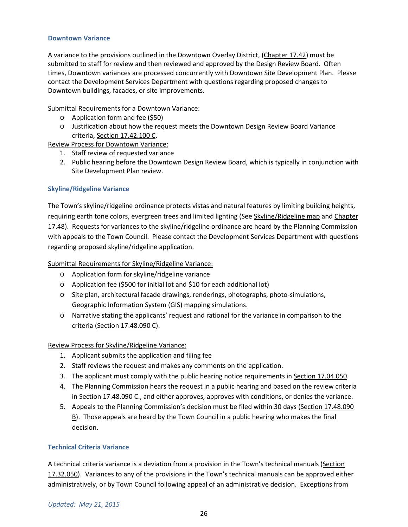#### **Downtown Variance**

A variance to the provisions outlined in the Downtown Overlay District, (Chapter 17.42) must be submitted to staff for review and then reviewed and approved by the Design Review Board. Often times, Downtown variances are processed concurrently with Downtown Site Development Plan. Please contact the Development Services Department with questions regarding proposed changes to Downtown buildings, facades, or site improvements.

#### Submittal Requirements for a Downtown Variance:

- o Application form and fee (\$50)
- o Justification about how the request meets the Downtown Design Review Board Variance criteria, Section 17.42.100 C.

Review Process for Downtown Variance:

- 1. Staff review of requested variance
- 2. Public hearing before the Downtown Design Review Board, which is typically in conjunction with Site Development Plan review.

# **Skyline/Ridgeline Variance**

The Town's skyline/ridgeline ordinance protects vistas and natural features by limiting building heights, requiring earth tone colors, evergreen trees and limited lighting (See Skyline/Ridgeline map and Chapter 17.48). Requests for variances to the skyline/ridgeline ordinance are heard by the Planning Commission with appeals to the Town Council. Please contact the Development Services Department with questions regarding proposed skyline/ridgeline application.

### Submittal Requirements for Skyline/Ridgeline Variance:

- o Application form for skyline/ridgeline variance
- o Application fee (\$500 for initial lot and \$10 for each additional lot)
- o Site plan, architectural facade drawings, renderings, photographs, photo-simulations, Geographic Information System (GIS) mapping simulations.
- o Narrative stating the applicants' request and rational for the variance in comparison to the criteria (Section 17.48.090 C).

#### Review Process for Skyline/Ridgeline Variance:

- 1. Applicant submits the application and filing fee
- 2. Staff reviews the request and makes any comments on the application.
- 3. The applicant must comply with the public hearing notice requirements in Section 17.04.050.
- 4. The Planning Commission hears the request in a public hearing and based on the review criteria in Section 17.48.090 C., and either approves, approves with conditions, or denies the variance.
- 5. Appeals to the Planning Commission's decision must be filed within 30 days (Section 17.48.090 B). Those appeals are heard by the Town Council in a public hearing who makes the final decision.

# **Technical Criteria Variance**

A technical criteria variance is a deviation from a provision in the Town's technical manuals (Section 17.32.050). Variances to any of the provisions in the Town's technical manuals can be approved either administratively, or by Town Council following appeal of an administrative decision. Exceptions from

#### *Updated: May 21, 2015*